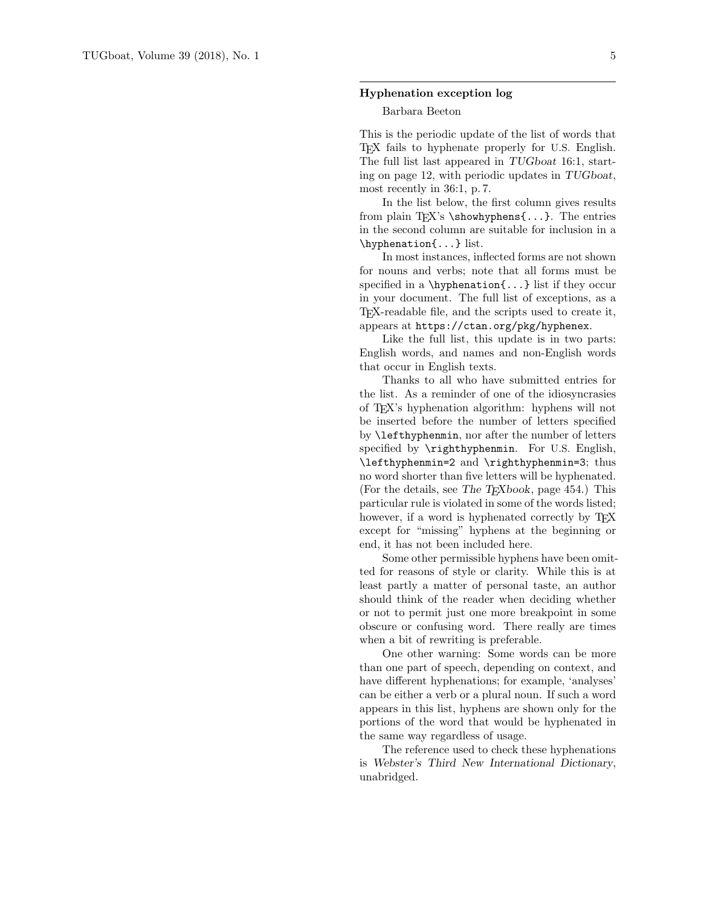## Hyphenation exception log

## Barbara Beeton

This is the periodic update of the list of words that TEX fails to hyphenate properly for U.S. English. The full list last appeared in TUGboat 16:1, starting on page 12, with periodic updates in TUGboat, most recently in 36:1, p. 7.

In the list below, the first column gives results from plain T<sub>EX</sub>'s \showhyphens $\{ \ldots \}$ . The entries in the second column are suitable for inclusion in a \hyphenation{...} list.

In most instances, inflected forms are not shown for nouns and verbs; note that all forms must be specified in a  $\hbox{\texttt{b}}$ ...} list if they occur in your document. The full list of exceptions, as a TEX-readable file, and the scripts used to create it, appears at https://ctan.org/pkg/hyphenex.

Like the full list, this update is in two parts: English words, and names and non-English words that occur in English texts.

Thanks to all who have submitted entries for the list. As a reminder of one of the idiosyncrasies of TEX's hyphenation algorithm: hyphens will not be inserted before the number of letters specified by \lefthyphenmin, nor after the number of letters specified by **\righthyphenmin**. For U.S. English, \lefthyphenmin=2 and \righthyphenmin=3; thus no word shorter than five letters will be hyphenated. (For the details, see The  $T_{E}Xbook$ , page 454.) This particular rule is violated in some of the words listed; however, if a word is hyphenated correctly by T<sub>E</sub>X except for "missing" hyphens at the beginning or end, it has not been included here.

Some other permissible hyphens have been omitted for reasons of style or clarity. While this is at least partly a matter of personal taste, an author should think of the reader when deciding whether or not to permit just one more breakpoint in some obscure or confusing word. There really are times when a bit of rewriting is preferable.

One other warning: Some words can be more than one part of speech, depending on context, and have different hyphenations; for example, 'analyses' can be either a verb or a plural noun. If such a word appears in this list, hyphens are shown only for the portions of the word that would be hyphenated in the same way regardless of usage.

The reference used to check these hyphenations is Webster's Third New International Dictionary, unabridged.